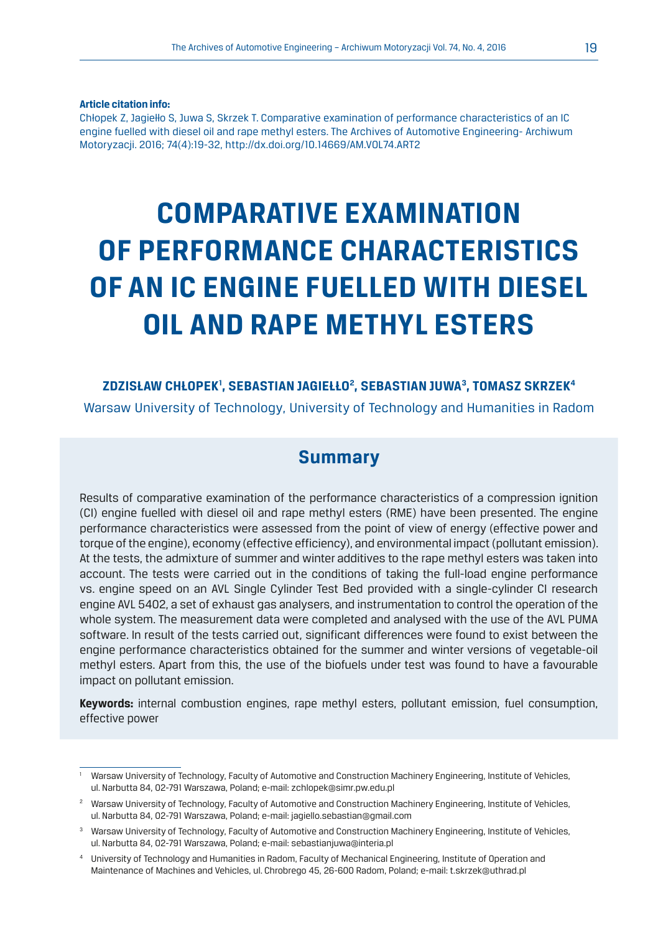**Article citation info:**

Chłopek Z, Jagiełło S, Juwa S, Skrzek T. Comparative examination of performance characteristics of an IC engine fuelled with diesel oil and rape methyl esters. The Archives of Automotive Engineering- Archiwum Motoryzacji. 2016; 74(4):19-32, http://dx.doi.org/10.14669/AM.VOL74.ART2

# **COMPARATIVE EXAMINATION OF PERFORMANCE CHARACTERISTICS OF AN IC ENGINE FUELLED WITH DIESEL OIL AND RAPE METHYL ESTERS**

#### **ZDZISŁAW CHŁOPEK1 , SEBASTIAN JAGIEŁŁO2 , SEBASTIAN JUWA3, TOMASZ SKRZEK4** Warsaw University of Technology, University of Technology and Humanities in Radom

#### **Summary**

Results of comparative examination of the performance characteristics of a compression ignition (CI) engine fuelled with diesel oil and rape methyl esters (RME) have been presented. The engine performance characteristics were assessed from the point of view of energy (effective power and torque of the engine), economy (effective efficiency), and environmental impact (pollutant emission). At the tests, the admixture of summer and winter additives to the rape methyl esters was taken into account. The tests were carried out in the conditions of taking the full-load engine performance vs. engine speed on an AVL Single Cylinder Test Bed provided with a single-cylinder CI research engine AVL 5402, a set of exhaust gas analysers, and instrumentation to control the operation of the whole system. The measurement data were completed and analysed with the use of the AVL PUMA software. In result of the tests carried out, significant differences were found to exist between the engine performance characteristics obtained for the summer and winter versions of vegetable-oil methyl esters. Apart from this, the use of the biofuels under test was found to have a favourable impact on pollutant emission.

**Keywords:** internal combustion engines, rape methyl esters, pollutant emission, fuel consumption, effective power

<sup>&</sup>lt;sup>1</sup> Warsaw University of Technology, Faculty of Automotive and Construction Machinery Engineering, Institute of Vehicles, ul. Narbutta 84, 02-791 Warszawa, Poland; e-mail: zchlopek@simr.pw.edu.pl

<sup>2</sup> Warsaw University of Technology, Faculty of Automotive and Construction Machinery Engineering, Institute of Vehicles, ul. Narbutta 84, 02-791 Warszawa, Poland; e-mail: jagiello.sebastian@gmail.com

<sup>&</sup>lt;sup>3</sup> Warsaw University of Technology, Faculty of Automotive and Construction Machinery Engineering, Institute of Vehicles, ul. Narbutta 84, 02-791 Warszawa, Poland; e-mail: sebastianjuwa@interia.pl

<sup>4</sup> University of Technology and Humanities in Radom, Faculty of Mechanical Engineering, Institute of Operation and Maintenance of Machines and Vehicles, ul. Chrobrego 45, 26-600 Radom, Poland; e-mail: t.skrzek@uthrad.pl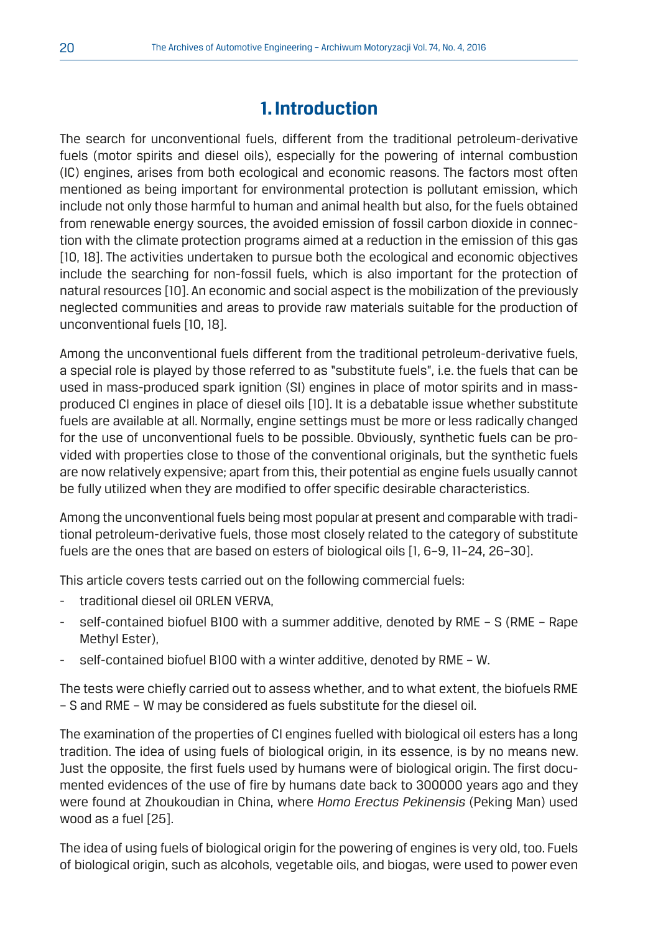# **1. Introduction**

The search for unconventional fuels, different from the traditional petroleum-derivative fuels (motor spirits and diesel oils), especially for the powering of internal combustion (IC) engines, arises from both ecological and economic reasons. The factors most often mentioned as being important for environmental protection is pollutant emission, which include not only those harmful to human and animal health but also, for the fuels obtained from renewable energy sources, the avoided emission of fossil carbon dioxide in connection with the climate protection programs aimed at a reduction in the emission of this gas [10, 18]. The activities undertaken to pursue both the ecological and economic objectives include the searching for non-fossil fuels, which is also important for the protection of natural resources [10]. An economic and social aspect is the mobilization of the previously neglected communities and areas to provide raw materials suitable for the production of unconventional fuels [10, 18].

Among the unconventional fuels different from the traditional petroleum-derivative fuels, a special role is played by those referred to as "substitute fuels", i.e. the fuels that can be used in mass-produced spark ignition (SI) engines in place of motor spirits and in massproduced CI engines in place of diesel oils [10]. It is a debatable issue whether substitute fuels are available at all. Normally, engine settings must be more or less radically changed for the use of unconventional fuels to be possible. Obviously, synthetic fuels can be provided with properties close to those of the conventional originals, but the synthetic fuels are now relatively expensive; apart from this, their potential as engine fuels usually cannot be fully utilized when they are modified to offer specific desirable characteristics.

Among the unconventional fuels being most popular at present and comparable with traditional petroleum-derivative fuels, those most closely related to the category of substitute fuels are the ones that are based on esters of biological oils [1, 6–9, 11–24, 26–30].

This article covers tests carried out on the following commercial fuels:

- traditional diesel oil ORLEN VERVA.
- self-contained biofuel B100 with a summer additive, denoted by RME S (RME Rape Methyl Ester),
- self-contained biofuel B100 with a winter additive, denoted by RME W.

The tests were chiefly carried out to assess whether, and to what extent, the biofuels RME – S and RME – W may be considered as fuels substitute for the diesel oil.

The examination of the properties of CI engines fuelled with biological oil esters has a long tradition. The idea of using fuels of biological origin, in its essence, is by no means new. Just the opposite, the first fuels used by humans were of biological origin. The first documented evidences of the use of fire by humans date back to 300000 years ago and they were found at Zhoukoudian in China, where *Homo Erectus Pekinensis* (Peking Man) used wood as a fuel [25].

The idea of using fuels of biological origin for the powering of engines is very old, too. Fuels of biological origin, such as alcohols, vegetable oils, and biogas, were used to power even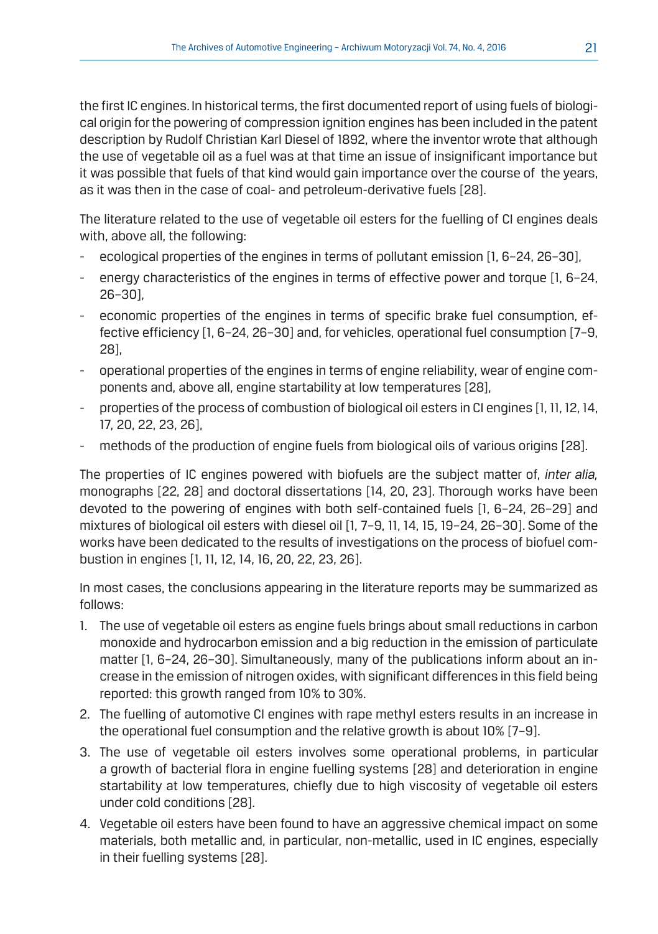the first IC engines. In historical terms, the first documented report of using fuels of biological origin for the powering of compression ignition engines has been included in the patent description by Rudolf Christian Karl Diesel of 1892, where the inventor wrote that although the use of vegetable oil as a fuel was at that time an issue of insignificant importance but it was possible that fuels of that kind would gain importance over the course of the years, as it was then in the case of coal- and petroleum-derivative fuels [28].

The literature related to the use of vegetable oil esters for the fuelling of CI engines deals with, above all, the following:

- ecological properties of the engines in terms of pollutant emission [1, 6-24, 26-30],
- energy characteristics of the engines in terms of effective power and torque [1, 6-24, 26–30],
- economic properties of the engines in terms of specific brake fuel consumption, effective efficiency [1, 6–24, 26–30] and, for vehicles, operational fuel consumption [7–9, 28],
- operational properties of the engines in terms of engine reliability, wear of engine components and, above all, engine startability at low temperatures [28],
- properties of the process of combustion of biological oil esters in CI engines [1, 11, 12, 14, 17, 20, 22, 23, 26],
- methods of the production of engine fuels from biological oils of various origins [28].

The properties of IC engines powered with biofuels are the subject matter of, *inter alia,* monographs [22, 28] and doctoral dissertations [14, 20, 23]. Thorough works have been devoted to the powering of engines with both self-contained fuels [1, 6–24, 26–29] and mixtures of biological oil esters with diesel oil [1, 7–9, 11, 14, 15, 19–24, 26–30]. Some of the works have been dedicated to the results of investigations on the process of biofuel combustion in engines [1, 11, 12, 14, 16, 20, 22, 23, 26].

In most cases, the conclusions appearing in the literature reports may be summarized as follows:

- 1. The use of vegetable oil esters as engine fuels brings about small reductions in carbon monoxide and hydrocarbon emission and a big reduction in the emission of particulate matter [1, 6–24, 26–30]. Simultaneously, many of the publications inform about an increase in the emission of nitrogen oxides, with significant differences in this field being reported: this growth ranged from 10% to 30%.
- 2. The fuelling of automotive CI engines with rape methyl esters results in an increase in the operational fuel consumption and the relative growth is about 10% [7–9].
- 3. The use of vegetable oil esters involves some operational problems, in particular a growth of bacterial flora in engine fuelling systems [28] and deterioration in engine startability at low temperatures, chiefly due to high viscosity of vegetable oil esters under cold conditions [28].
- 4. Vegetable oil esters have been found to have an aggressive chemical impact on some materials, both metallic and, in particular, non-metallic, used in IC engines, especially in their fuelling systems [28].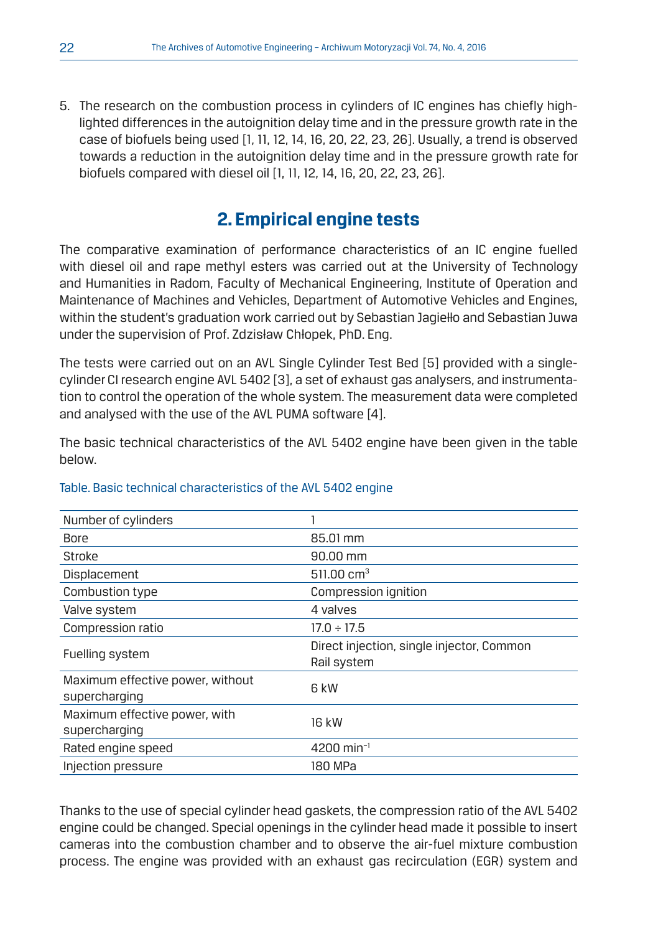5. The research on the combustion process in cylinders of IC engines has chiefly highlighted differences in the autoignition delay time and in the pressure growth rate in the case of biofuels being used [1, 11, 12, 14, 16, 20, 22, 23, 26]. Usually, a trend is observed towards a reduction in the autoignition delay time and in the pressure growth rate for biofuels compared with diesel oil [1, 11, 12, 14, 16, 20, 22, 23, 26].

# **2. Empirical engine tests**

The comparative examination of performance characteristics of an IC engine fuelled with diesel oil and rape methyl esters was carried out at the University of Technology and Humanities in Radom, Faculty of Mechanical Engineering, Institute of Operation and Maintenance of Machines and Vehicles, Department of Automotive Vehicles and Engines, within the student's graduation work carried out by Sebastian Jagiełło and Sebastian Juwa under the supervision of Prof. Zdzisław Chłopek, PhD. Eng.

The tests were carried out on an AVL Single Cylinder Test Bed [5] provided with a singlecylinder CI research engine AVL 5402 [3], a set of exhaust gas analysers, and instrumentation to control the operation of the whole system. The measurement data were completed and analysed with the use of the AVL PUMA software [4].

The basic technical characteristics of the AVL 5402 engine have been given in the table below.

| Number of cylinders                               |                                                          |
|---------------------------------------------------|----------------------------------------------------------|
| <b>Bore</b>                                       | 85.01 mm                                                 |
| Stroke                                            | 90.00 mm                                                 |
| Displacement                                      | 511.00 cm <sup>3</sup>                                   |
| Combustion type                                   | Compression ignition                                     |
| Valve system                                      | 4 valves                                                 |
| Compression ratio                                 | $17.0 \div 17.5$                                         |
| Fuelling system                                   | Direct injection, single injector, Common<br>Rail system |
| Maximum effective power, without<br>supercharging | 6 kW                                                     |
| Maximum effective power, with<br>supercharging    | 16 kW                                                    |
| Rated engine speed                                | $4200$ min <sup>-1</sup>                                 |
| Injection pressure                                | 180 MPa                                                  |
|                                                   |                                                          |

#### Table. Basic technical characteristics of the AVL 5402 engine

Thanks to the use of special cylinder head gaskets, the compression ratio of the AVL 5402 engine could be changed. Special openings in the cylinder head made it possible to insert cameras into the combustion chamber and to observe the air-fuel mixture combustion process. The engine was provided with an exhaust gas recirculation (EGR) system and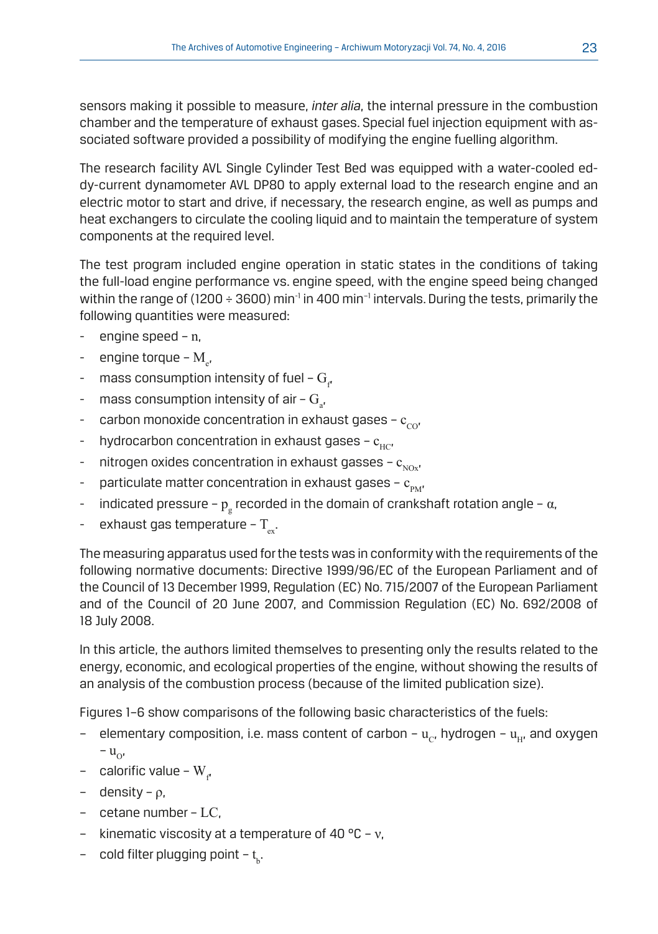sensors making it possible to measure, *inter alia*, the internal pressure in the combustion chamber and the temperature of exhaust gases. Special fuel injection equipment with associated software provided a possibility of modifying the engine fuelling algorithm.

The research facility AVL Single Cylinder Test Bed was equipped with a water-cooled eddy-current dynamometer AVL DP80 to apply external load to the research engine and an electric motor to start and drive, if necessary, the research engine, as well as pumps and heat exchangers to circulate the cooling liquid and to maintain the temperature of system components at the required level.

The test program included engine operation in static states in the conditions of taking the full-load engine performance vs. engine speed, with the engine speed being changed within the range of (1200 ÷ 3600) min<sup>-1</sup> in 400 min<sup>-1</sup> intervals. During the tests, primarily the following quantities were measured:

- engine speed  $n$ ,
- engine torque  $M_{e'}$
- $\,$  mass consumption intensity of fuel  $\mathrm{G}_{_{\mathrm{f}}}$
- $\,$  mass consumption intensity of air  $\mathrm{G}_{_{a'}}$
- carbon monoxide concentration in exhaust gases  $c_{cor}$
- hydrocarbon concentration in exhaust gases  $c_{\text{HCl}}$
- nitrogen oxides concentration in exhaust gasses  $c_{NQ}$ ,
- particulate matter concentration in exhaust gases  $c_{pM}$ ,
- $\;$  indicated pressure  $\rm p_{\rm g}$  recorded in the domain of crankshaft rotation angle  $\alpha$ ,
- exhaust gas temperature  $T_{...}$ .

The measuring apparatus used for the tests was in conformity with the requirements of the following normative documents: Directive 1999/96/EC of the European Parliament and of the Council of 13 December 1999, Regulation (EC) No. 715/2007 of the European Parliament and of the Council of 20 June 2007, and Commission Regulation (EC) No. 692/2008 of 18 July 2008.

In this article, the authors limited themselves to presenting only the results related to the energy, economic, and ecological properties of the engine, without showing the results of an analysis of the combustion process (because of the limited publication size).

Figures 1–6 show comparisons of the following basic characteristics of the fuels:

- elementary composition, i.e. mass content of carbon  $u_{cr}$ , hydrogen  $u_{H}$ , and oxygen  $-u_{\Omega}$
- calorific value  $\text{W}_{\text{f}}$
- density ρ,
- cetane number LC,
- kinematic viscosity at a temperature of 40 °C ν,
- cold filter plugging point t<sub><sub>b</sub>.</sub>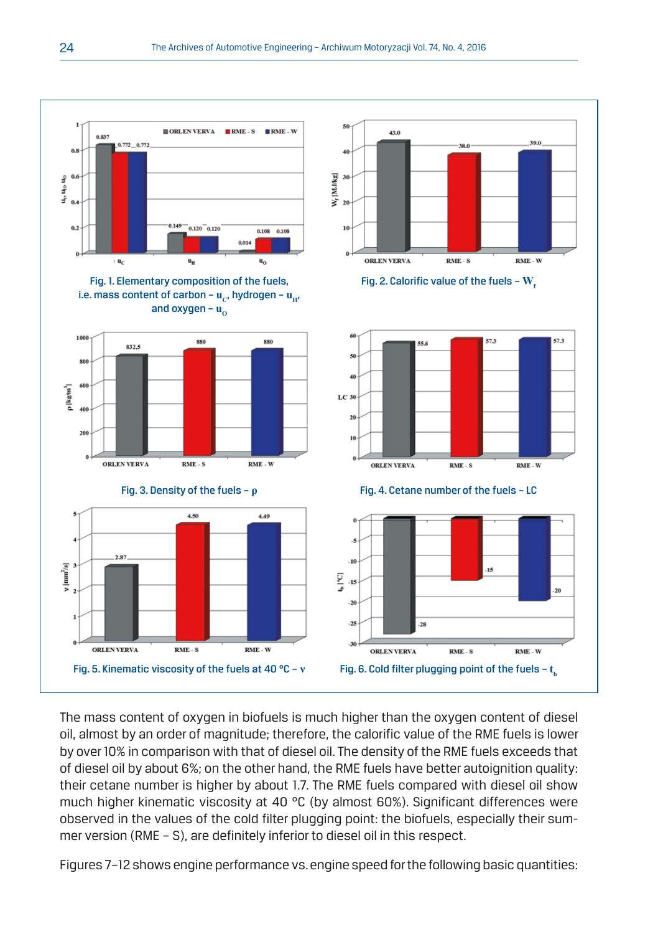

The mass content of oxygen in biofuels is much higher than the oxygen content of diesel oil, almost by an order of magnitude; therefore, the calorific value of the RME fuels is lower by over 10% in comparison with that of diesel oil. The density of the RME fuels exceeds that of diesel oil by about 6%; on the other hand, the RME fuels have better autoignition quality: their cetane number is higher by about 1.7. The RME fuels compared with diesel oil show much higher kinematic viscosity at 40 °C (by almost 60%). Significant differences were observed in the values of the cold filter plugging point: the biofuels, especially their summer version (RME – S), are definitely inferior to diesel oil in this respect.

Figures 7–12 shows engine performance vs. engine speed for the following basic quantities: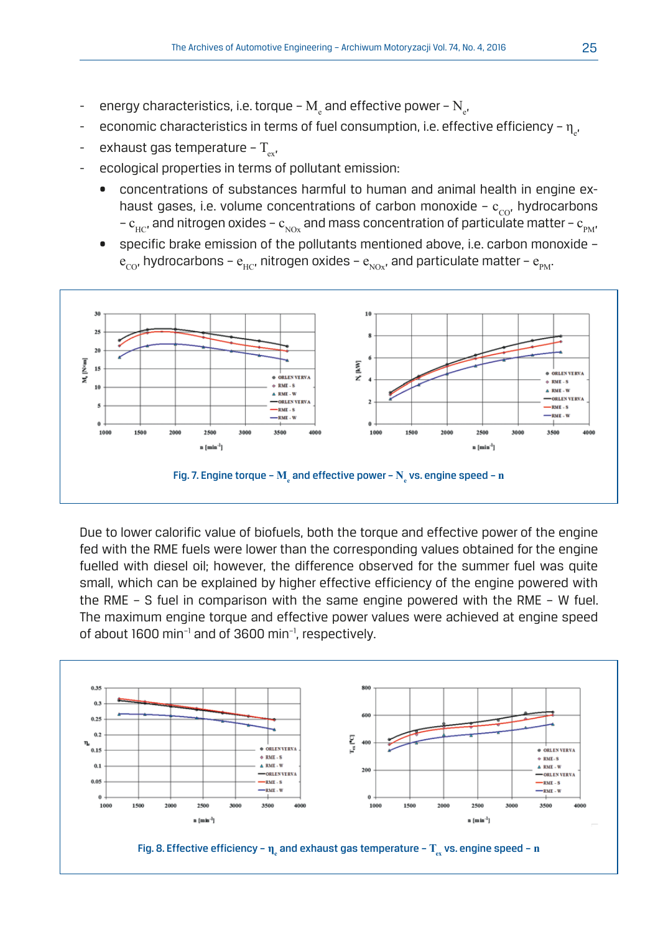- $\;$  energy characteristics, i.e. torque  $\rm M_{_{e}}$  and effective power  $\rm N_{_{e^{\prime}}}$
- $\;$  economic characteristics in terms of fuel consumption, i.e. effective efficiency  $\eta_{\rm e}$ ,
- exhaust gas temperature  $T_{\text{eff}}$ ,
- ecological properties in terms of pollutant emission:
	- concentrations of substances harmful to human and animal health in engine exhaust gases, i.e. volume concentrations of carbon monoxide -  $c_{\text{cor}}$  hydrocarbons –  $c_{\mu c}$ , and nitrogen oxides –  $c_{\mu c}$  and mass concentration of particulate matter –  $c_{\mu}$ ,
	- specific brake emission of the pollutants mentioned above, i.e. carbon monoxide  $e_{\rm CO}$ , hydrocarbons –  $e_{\rm HCl}$ , nitrogen oxides –  $e_{\rm NO}$ , and particulate matter –  $e_{\rm DM}$ .



Due to lower calorific value of biofuels, both the torque and effective power of the engine fed with the RME fuels were lower than the corresponding values obtained for the engine fuelled with diesel oil; however, the difference observed for the summer fuel was quite small, which can be explained by higher effective efficiency of the engine powered with the RME – S fuel in comparison with the same engine powered with the RME – W fuel. The maximum engine torque and effective power values were achieved at engine speed of about 1600 min−1 and of 3600 min−1, respectively.

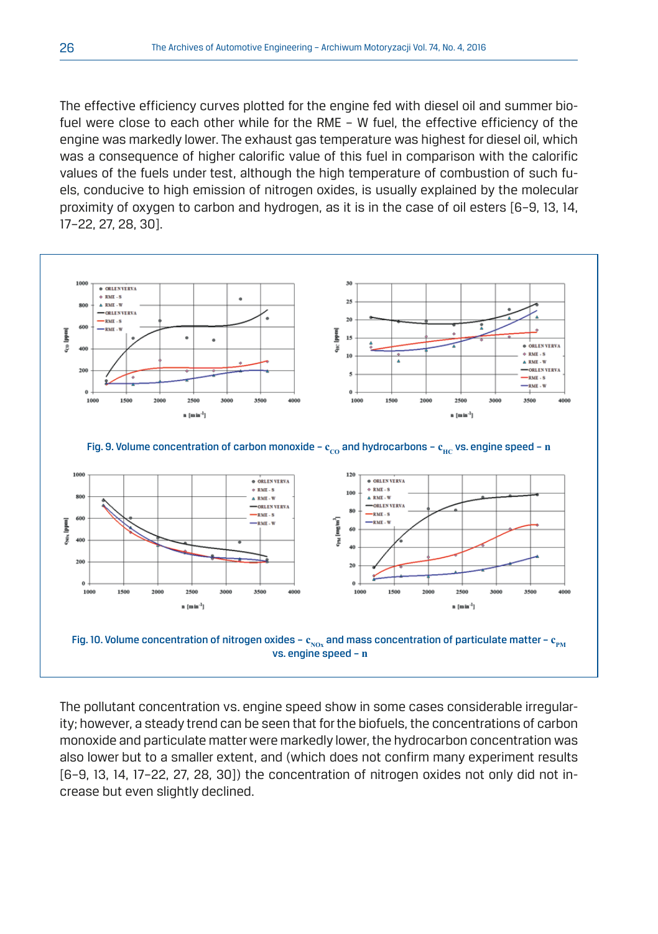The effective efficiency curves plotted for the engine fed with diesel oil and summer biofuel were close to each other while for the RME – W fuel, the effective efficiency of the engine was markedly lower. The exhaust gas temperature was highest for diesel oil, which was a consequence of higher calorific value of this fuel in comparison with the calorific values of the fuels under test, although the high temperature of combustion of such fuels, conducive to high emission of nitrogen oxides, is usually explained by the molecular proximity of oxygen to carbon and hydrogen, as it is in the case of oil esters [6–9, 13, 14, 17–22, 27, 28, 30].



The pollutant concentration vs. engine speed show in some cases considerable irregularity; however, a steady trend can be seen that for the biofuels, the concentrations of carbon monoxide and particulate matter were markedly lower, the hydrocarbon concentration was also lower but to a smaller extent, and (which does not confirm many experiment results [6–9, 13, 14, 17–22, 27, 28, 30]) the concentration of nitrogen oxides not only did not increase but even slightly declined.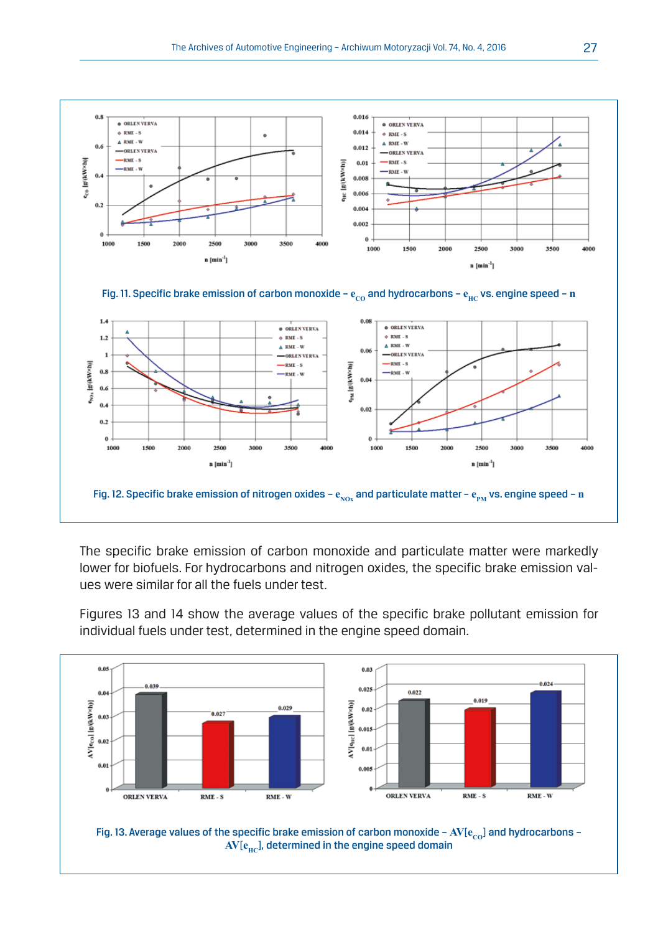![](_page_8_Figure_1.jpeg)

The specific brake emission of carbon monoxide and particulate matter were markedly lower for biofuels. For hydrocarbons and nitrogen oxides, the specific brake emission values were similar for all the fuels under test.

Figures 13 and 14 show the average values of the specific brake pollutant emission for individual fuels under test, determined in the engine speed domain.

![](_page_8_Figure_4.jpeg)

AV[ $e_{\text{HC}}$ ], determined in the engine speed domain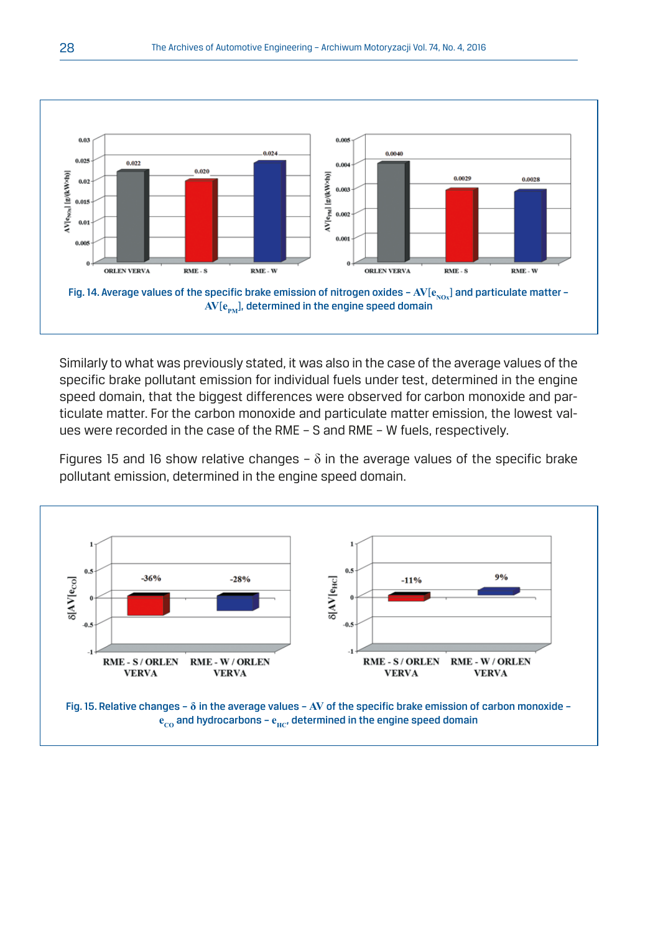![](_page_9_Figure_1.jpeg)

Similarly to what was previously stated, it was also in the case of the average values of the specific brake pollutant emission for individual fuels under test, determined in the engine speed domain, that the biggest differences were observed for carbon monoxide and particulate matter. For the carbon monoxide and particulate matter emission, the lowest values were recorded in the case of the RME – S and RME – W fuels, respectively.

Figures 15 and 16 show relative changes –  $\delta$  in the average values of the specific brake pollutant emission, determined in the engine speed domain.

![](_page_9_Figure_4.jpeg)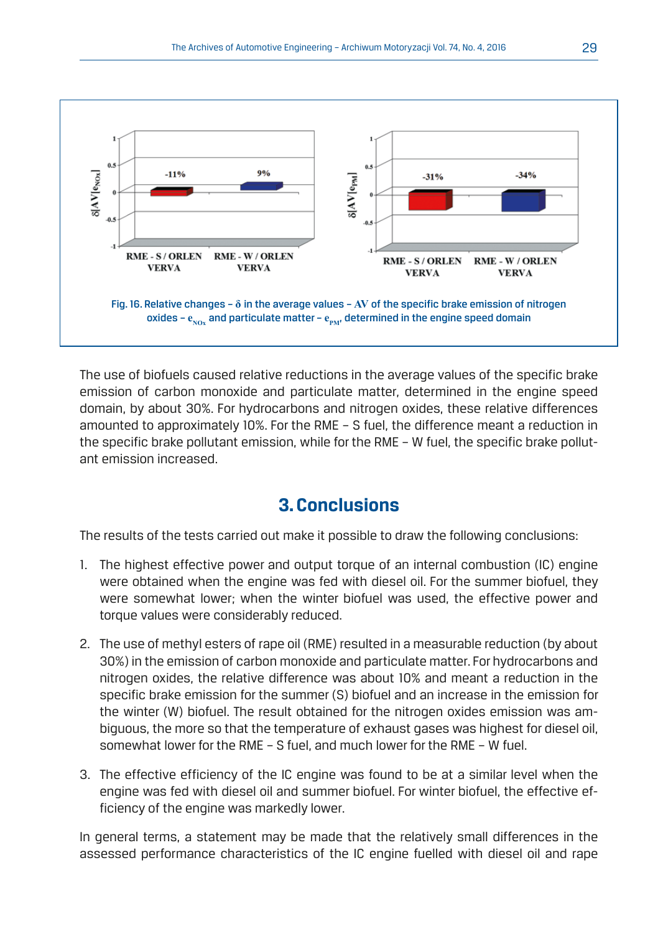![](_page_10_Figure_1.jpeg)

The use of biofuels caused relative reductions in the average values of the specific brake emission of carbon monoxide and particulate matter, determined in the engine speed domain, by about 30%. For hydrocarbons and nitrogen oxides, these relative differences amounted to approximately 10%. For the RME – S fuel, the difference meant a reduction in the specific brake pollutant emission, while for the RME – W fuel, the specific brake pollutant emission increased.

# **3. Conclusions**

The results of the tests carried out make it possible to draw the following conclusions:

- 1. The highest effective power and output torque of an internal combustion (IC) engine were obtained when the engine was fed with diesel oil. For the summer biofuel, they were somewhat lower; when the winter biofuel was used, the effective power and torque values were considerably reduced.
- 2. The use of methyl esters of rape oil (RME) resulted in a measurable reduction (by about 30%) in the emission of carbon monoxide and particulate matter. For hydrocarbons and nitrogen oxides, the relative difference was about 10% and meant a reduction in the specific brake emission for the summer (S) biofuel and an increase in the emission for the winter (W) biofuel. The result obtained for the nitrogen oxides emission was ambiguous, the more so that the temperature of exhaust gases was highest for diesel oil, somewhat lower for the RME – S fuel, and much lower for the RME – W fuel.
- 3. The effective efficiency of the IC engine was found to be at a similar level when the engine was fed with diesel oil and summer biofuel. For winter biofuel, the effective efficiency of the engine was markedly lower.

In general terms, a statement may be made that the relatively small differences in the assessed performance characteristics of the IC engine fuelled with diesel oil and rape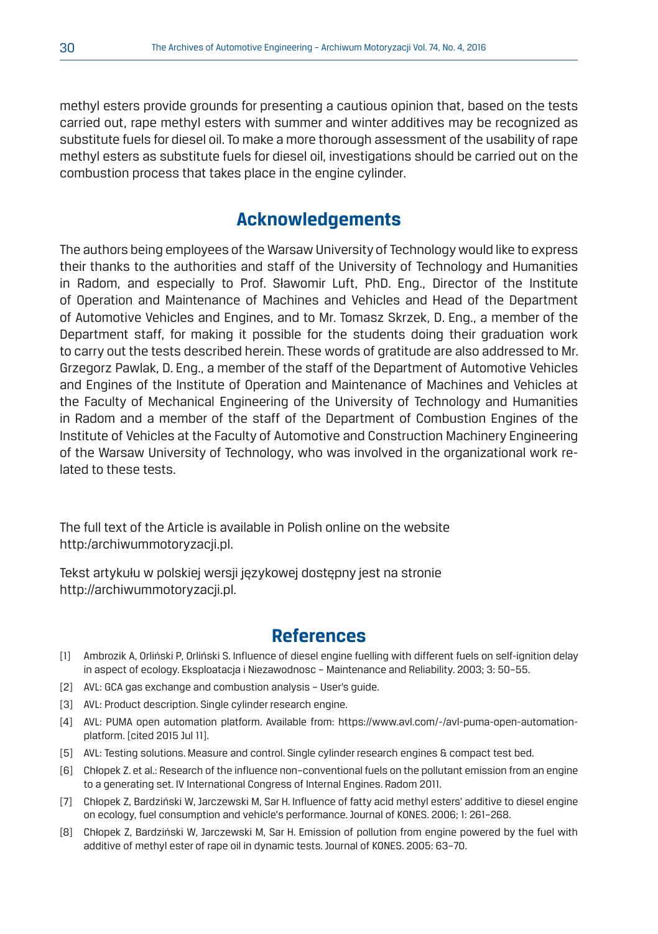methyl esters provide grounds for presenting a cautious opinion that, based on the tests carried out, rape methyl esters with summer and winter additives may be recognized as substitute fuels for diesel oil. To make a more thorough assessment of the usability of rape methyl esters as substitute fuels for diesel oil, investigations should be carried out on the combustion process that takes place in the engine cylinder.

## **Acknowledgements**

The authors being employees of the Warsaw University of Technology would like to express their thanks to the authorities and staff of the University of Technology and Humanities in Radom, and especially to Prof. Sławomir Luft, PhD. Eng., Director of the Institute of Operation and Maintenance of Machines and Vehicles and Head of the Department of Automotive Vehicles and Engines, and to Mr. Tomasz Skrzek, D. Eng., a member of the Department staff, for making it possible for the students doing their graduation work to carry out the tests described herein. These words of gratitude are also addressed to Mr. Grzegorz Pawlak, D. Eng., a member of the staff of the Department of Automotive Vehicles and Engines of the Institute of Operation and Maintenance of Machines and Vehicles at the Faculty of Mechanical Engineering of the University of Technology and Humanities in Radom and a member of the staff of the Department of Combustion Engines of the Institute of Vehicles at the Faculty of Automotive and Construction Machinery Engineering of the Warsaw University of Technology, who was involved in the organizational work related to these tests.

The full text of the Article is available in Polish online on the website http:/archiwummotoryzacji.pl.

Tekst artykułu w polskiej wersji językowej dostępny jest na stronie http://archiwummotoryzacji.pl.

### **References**

- [1] Ambrozik A, Orliński P, Orliński S. Influence of diesel engine fuelling with different fuels on self-ignition delay in aspect of ecology. Eksploatacja i Niezawodnosc – Maintenance and Reliability. 2003; 3: 50–55.
- [2] AVL: GCA gas exchange and combustion analysis User's quide.
- [3] AVL: Product description. Single cylinder research engine.
- [4] AVL: PUMA open automation platform. Available from: https://www.avl.com/-/avl-puma-open-automationplatform. [cited 2015 Jul 11].
- [5] AVL: Testing solutions. Measure and control. Single cylinder research engines & compact test bed.
- [6] Chłopek Z. et al.: Research of the influence non–conventional fuels on the pollutant emission from an engine to a generating set. IV International Congress of Internal Engines. Radom 2011.
- [7] Chłopek Z, Bardziński W, Jarczewski M, Sar H. Influence of fatty acid methyl esters' additive to diesel engine on ecology, fuel consumption and vehicle's performance. Journal of KONES. 2006; 1: 261–268.
- [8] Chłopek Z, Bardziński W, Jarczewski M, Sar H. Emission of pollution from engine powered by the fuel with additive of methyl ester of rape oil in dynamic tests. Journal of KONES. 2005: 63–70.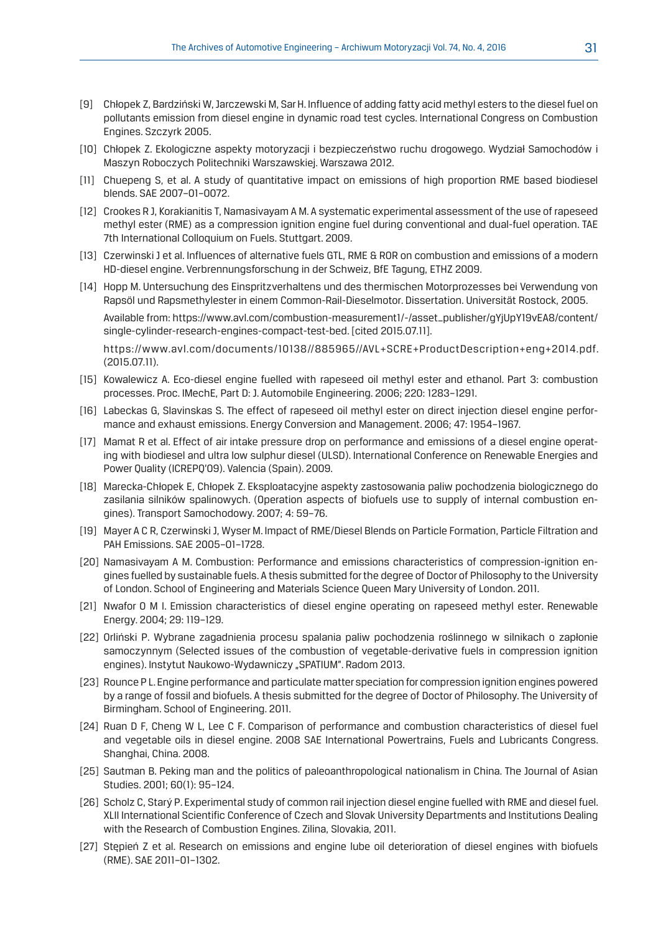- [9] Chłopek Z, Bardziński W, Jarczewski M, Sar H. Influence of adding fatty acid methyl esters to the diesel fuel on pollutants emission from diesel engine in dynamic road test cycles. International Congress on Combustion Engines. Szczyrk 2005.
- [10] Chłopek Z. Ekologiczne aspekty motoryzacji i bezpieczeństwo ruchu drogowego. Wydział Samochodów i Maszyn Roboczych Politechniki Warszawskiej. Warszawa 2012.
- [11] Chuepeng S, et al. A study of quantitative impact on emissions of high proportion RME based biodiesel blends. SAE 2007–01–0072.
- [12] Crookes R J, Korakianitis T, Namasivayam A M. A systematic experimental assessment of the use of rapeseed methyl ester (RME) as a compression ignition engine fuel during conventional and dual-fuel operation. TAE 7th International Colloquium on Fuels. Stuttgart. 2009.
- [13] Czerwinski J et al. Influences of alternative fuels GTL, RME & ROR on combustion and emissions of a modern HD-diesel engine. Verbrennungsforschung in der Schweiz, BfE Tagung, ETHZ 2009.
- [14] Hopp M. Untersuchung des Einspritzverhaltens und des thermischen Motorprozesses bei Verwendung von Rapsöl und Rapsmethylester in einem Common-Rail-Dieselmotor. Dissertation. Universität Rostock, 2005.

 Available from: https://www.avl.com/combustion-measurement1/-/asset\_publisher/gYjUpY19vEA8/content/ single-cylinder-research-engines-compact-test-bed. [cited 2015.07.11].

 https://www.avl.com/documents/10138//885965//AVL+SCRE+ProductDescription+eng+2014.pdf. (2015.07.11).

- [15] Kowalewicz A. Eco-diesel engine fuelled with rapeseed oil methyl ester and ethanol. Part 3: combustion processes. Proc. IMechE, Part D: J. Automobile Engineering. 2006; 220: 1283–1291.
- [16] Labeckas G, Slavinskas S. The effect of rapeseed oil methyl ester on direct injection diesel engine performance and exhaust emissions. Energy Conversion and Management. 2006; 47: 1954–1967.
- [17] Mamat R et al. Effect of air intake pressure drop on performance and emissions of a diesel engine operating with biodiesel and ultra low sulphur diesel (ULSD). International Conference on Renewable Energies and Power Quality (ICREPQ'09). Valencia (Spain). 2009.
- [18] Marecka-Chłopek E, Chłopek Z. Eksploatacyjne aspekty zastosowania paliw pochodzenia biologicznego do zasilania silników spalinowych. (Operation aspects of biofuels use to supply of internal combustion engines). Transport Samochodowy. 2007; 4: 59–76.
- [19] Mayer A C R, Czerwinski J, Wyser M. Impact of RME/Diesel Blends on Particle Formation, Particle Filtration and PAH Emissions. SAE 2005–01–1728.
- [20] Namasivayam A M. Combustion: Performance and emissions characteristics of compression-ignition engines fuelled by sustainable fuels. A thesis submitted for the degree of Doctor of Philosophy to the University of London. School of Engineering and Materials Science Queen Mary University of London. 2011.
- [21] Nwafor O M I. Emission characteristics of diesel engine operating on rapeseed methyl ester. Renewable Energy. 2004; 29: 119–129.
- [22] Orliński P. Wybrane zagadnienia procesu spalania paliw pochodzenia roślinnego w silnikach o zapłonie samoczynnym (Selected issues of the combustion of vegetable-derivative fuels in compression ignition engines). Instytut Naukowo-Wydawniczy "SPATIUM". Radom 2013.
- [23] Rounce P L. Engine performance and particulate matter speciation for compression ignition engines powered by a range of fossil and biofuels. A thesis submitted for the degree of Doctor of Philosophy. The University of Birmingham. School of Engineering. 2011.
- [24] Ruan D F, Cheng W L, Lee C F. Comparison of performance and combustion characteristics of diesel fuel and vegetable oils in diesel engine. 2008 SAE International Powertrains, Fuels and Lubricants Congress. Shanghai, China. 2008.
- [25] Sautman B. Peking man and the politics of paleoanthropological nationalism in China. The Journal of Asian Studies. 2001; 60(1): 95–124.
- [26] Scholz C, Starý P. Experimental study of common rail injection diesel engine fuelled with RME and diesel fuel. XLII International Scientific Conference of Czech and Slovak University Departments and Institutions Dealing with the Research of Combustion Engines. Zilina, Slovakia, 2011.
- [27] Stepień Z et al. Research on emissions and engine lube oil deterioration of diesel engines with biofuels (RME). SAE 2011–01–1302.